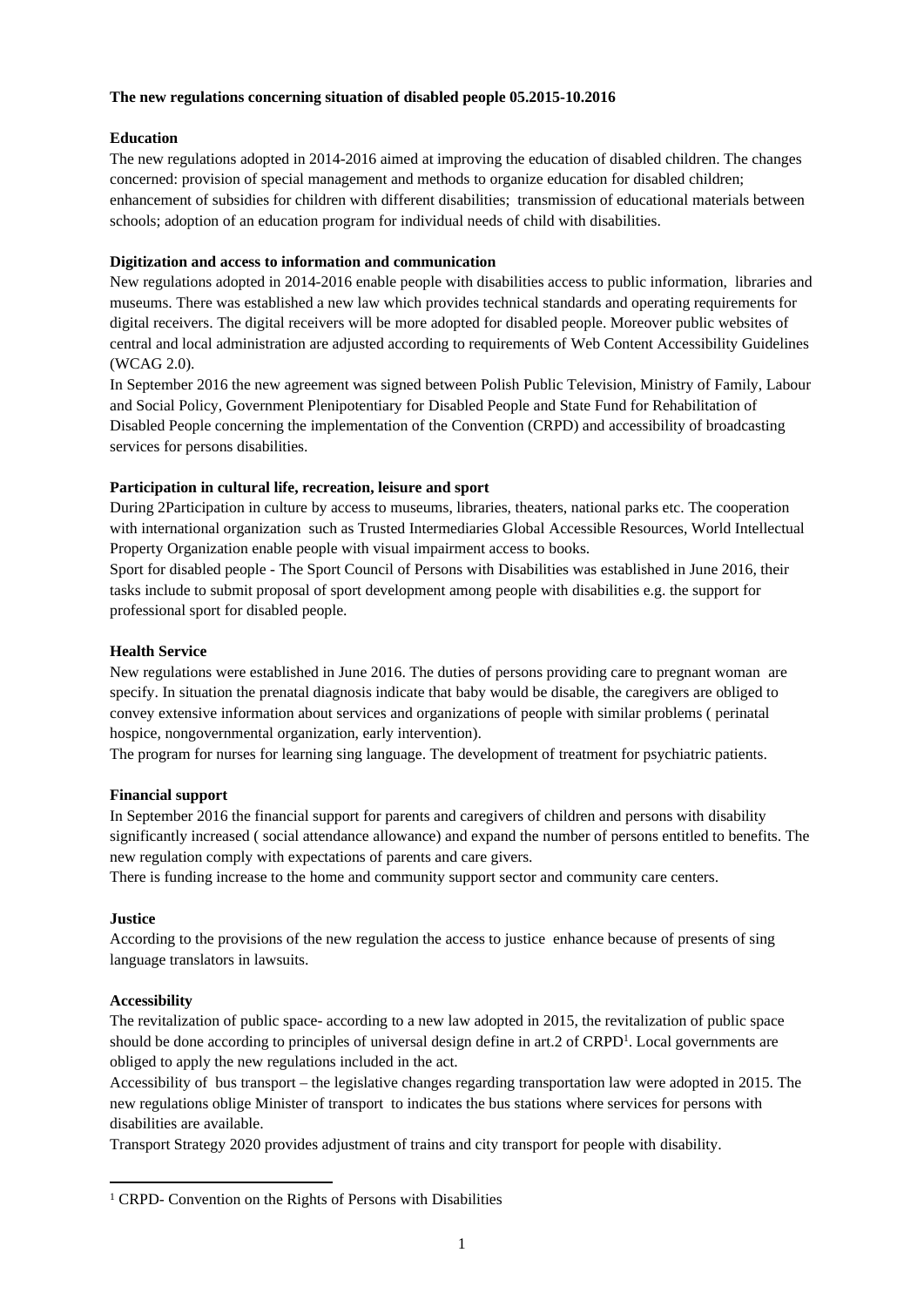#### **The new regulations concerning situation of disabled people 05.2015-10.2016**

## **Education**

The new regulations adopted in 2014-2016 aimed at improving the education of disabled children. The changes concerned: provision of special management and methods to organize education for disabled children; enhancement of subsidies for children with different disabilities; transmission of educational materials between schools; adoption of an education program for individual needs of child with disabilities.

## **Digitization and access to information and communication**

New regulations adopted in 2014-2016 enable people with disabilities access to public information, libraries and museums. There was established a new law which provides technical standards and operating requirements for digital receivers. The digital receivers will be more adopted for disabled people. Moreover public websites of central and local administration are adjusted according to requirements of Web Content Accessibility Guidelines (WCAG 2.0).

In September 2016 the new agreement was signed between Polish Public Television, Ministry of Family, Labour and Social Policy, Government Plenipotentiary for Disabled People and State Fund for Rehabilitation of Disabled People concerning the implementation of the Convention (CRPD) and accessibility of broadcasting services for persons disabilities.

## **Participation in cultural life, recreation, leisure and sport**

During 2Participation in culture by access to museums, libraries, theaters, national parks etc. The cooperation with international organization such as Trusted Intermediaries Global Accessible Resources, World Intellectual Property Organization enable people with visual impairment access to books.

Sport for disabled people - The Sport Council of Persons with Disabilities was established in June 2016, their tasks include to submit proposal of sport development among people with disabilities e.g. the support for professional sport for disabled people.

## **Health Service**

New regulations were established in June 2016. The duties of persons providing care to pregnant woman are specify. In situation the prenatal diagnosis indicate that baby would be disable, the caregivers are obliged to convey extensive information about services and organizations of people with similar problems ( perinatal hospice, nongovernmental organization, early intervention).

The program for nurses for learning sing language. The development of treatment for psychiatric patients.

#### **Financial support**

In September 2016 the financial support for parents and caregivers of children and persons with disability significantly increased ( social attendance allowance) and expand the number of persons entitled to benefits. The new regulation comply with expectations of parents and care givers.

There is funding increase to the home and community support sector and community care centers.

#### **Justice**

According to the provisions of the new regulation the access to justice enhance because of presents of sing language translators in lawsuits.

# **Accessibility**

The revitalization of public space- according to a new law adopted in 2015, the revitalization of public space should be done according to principles of universal design define in art.2 of CRPD<sup>1</sup>. Local governments are obliged to apply the new regulations included in the act.

Accessibility of bus transport – the legislative changes regarding transportation law were adopted in 2015. The new regulations oblige Minister of transport to indicates the bus stations where services for persons with disabilities are available.

Transport Strategy 2020 provides adjustment of trains and city transport for people with disability.

<sup>&</sup>lt;sup>1</sup> CRPD- Convention on the Rights of Persons with Disabilities